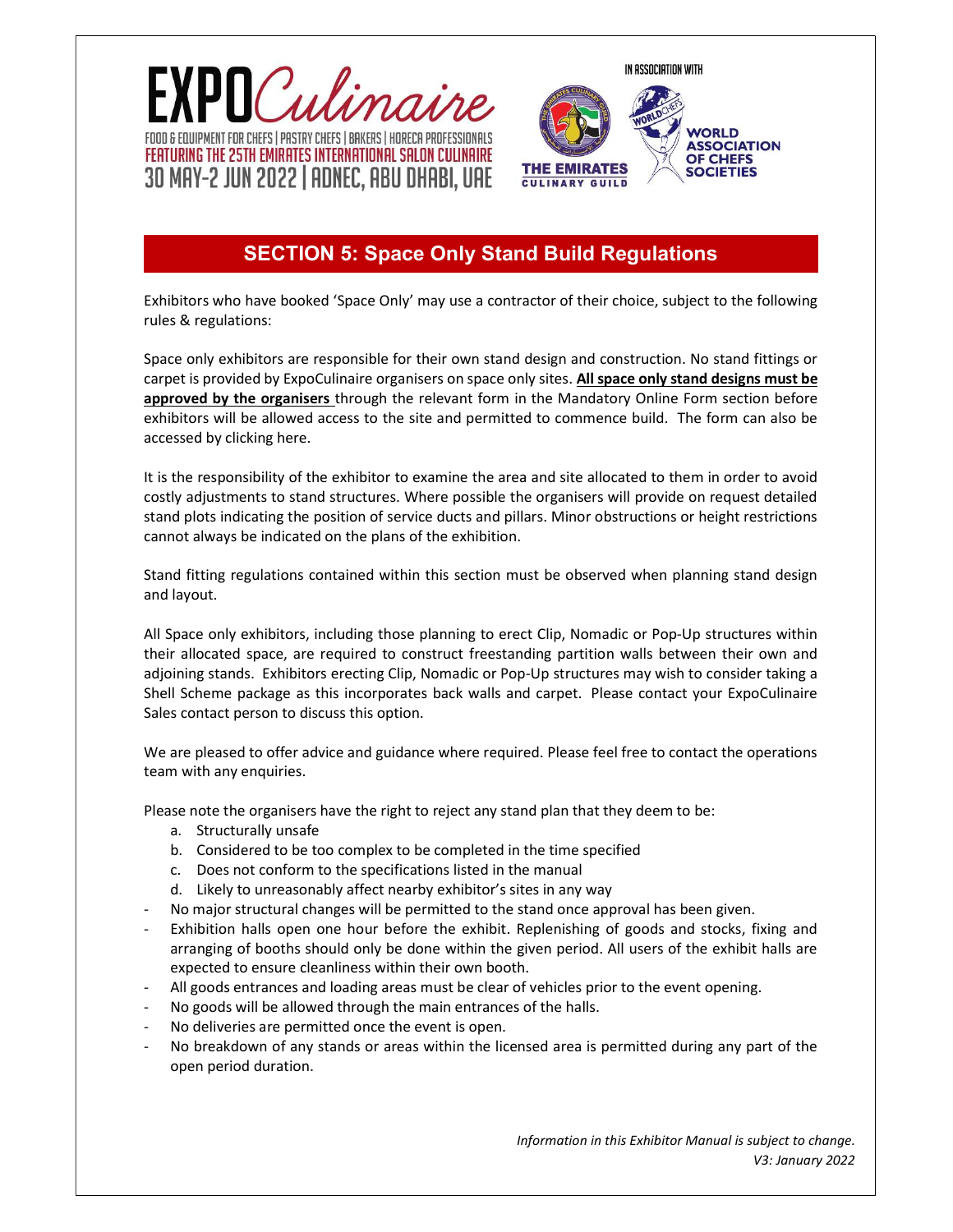



# **The minimum area is 24 squ. Exhibit**ors SECTION 5: Space Only Stand Build Regulations

Exhibitors who have booked 'Space Only' may use a contractor of their choice, subject to the following rules & regulations:

Space only exhibitors are responsible for their own stand design and construction. No stand fittings or carpet is provided by ExpoCulinaire organisers on space only sites. All space only stand designs must be approved by the organisers through the relevant form in the Mandatory Online Form section before exhibitors will be allowed access to the site and permitted to commence build. The form can also be accessed by clicking here.

It is the responsibility of the exhibitor to examine the area and site allocated to them in order to avoid costly adjustments to stand structures. Where possible the organisers will provide on request detailed stand plots indicating the position of service ducts and pillars. Minor obstructions or height restrictions cannot always be indicated on the plans of the exhibition.

Stand fitting regulations contained within this section must be observed when planning stand design and layout.

All Space only exhibitors, including those planning to erect Clip, Nomadic or Pop-Up structures within their allocated space, are required to construct freestanding partition walls between their own and adjoining stands. Exhibitors erecting Clip, Nomadic or Pop-Up structures may wish to consider taking a Shell Scheme package as this incorporates back walls and carpet. Please contact your ExpoCulinaire Sales contact person to discuss this option.

We are pleased to offer advice and guidance where required. Please feel free to contact the operations team with any enquiries.

Please note the organisers have the right to reject any stand plan that they deem to be:

- a. Structurally unsafe
- b. Considered to be too complex to be completed in the time specified
- c. Does not conform to the specifications listed in the manual
- d. Likely to unreasonably affect nearby exhibitor's sites in any way
- No major structural changes will be permitted to the stand once approval has been given.
- Exhibition halls open one hour before the exhibit. Replenishing of goods and stocks, fixing and arranging of booths should only be done within the given period. All users of the exhibit halls are expected to ensure cleanliness within their own booth.
- All goods entrances and loading areas must be clear of vehicles prior to the event opening.
- No goods will be allowed through the main entrances of the halls.
- No deliveries are permitted once the event is open.
- No breakdown of any stands or areas within the licensed area is permitted during any part of the open period duration.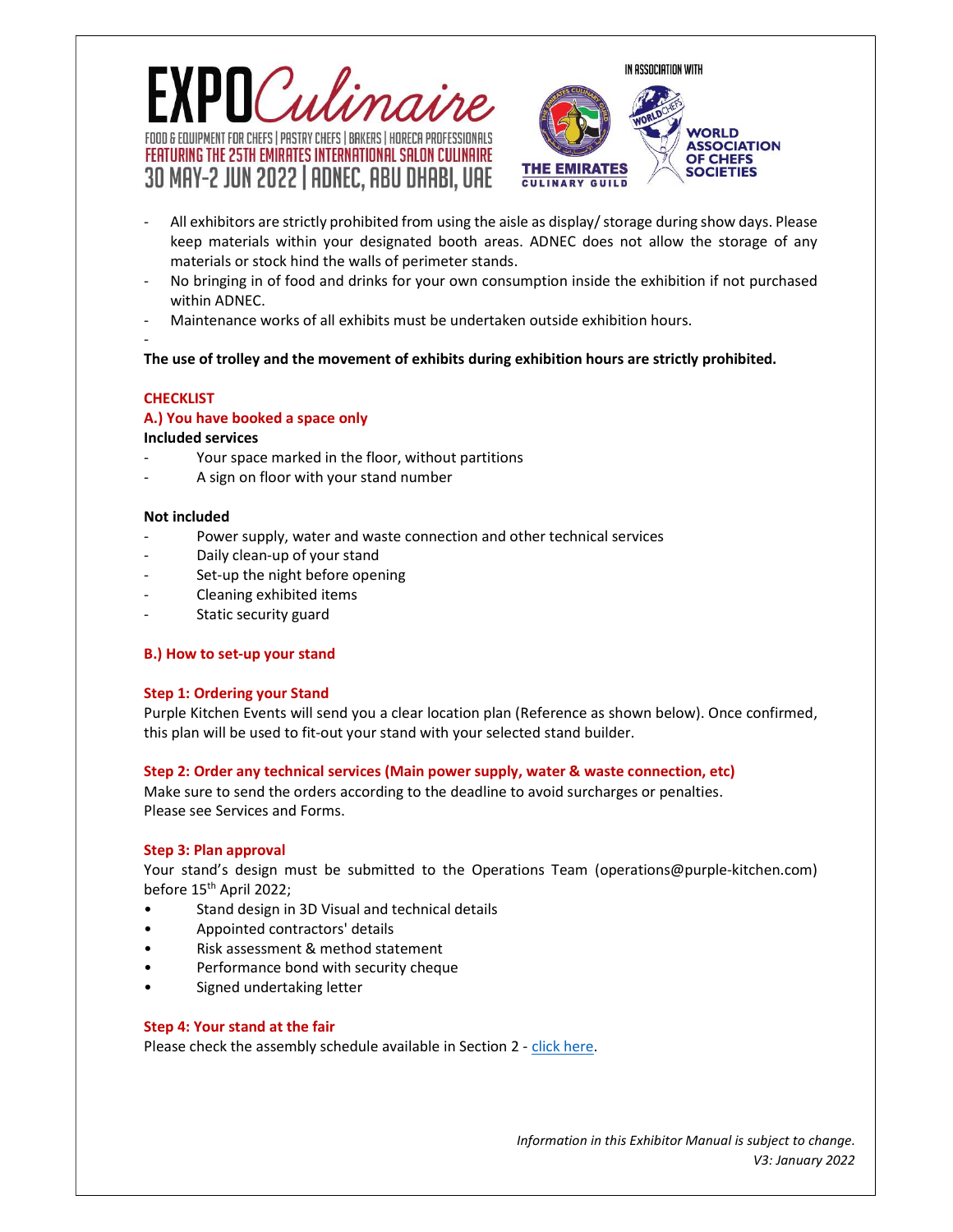



- All exhibitors are strictly prohibited from using the aisle as display/ storage during show days. Please keep materials within your designated booth areas. ADNEC does not allow the storage of any materials or stock hind the walls of perimeter stands.
- No bringing in of food and drinks for your own consumption inside the exhibition if not purchased within ADNEC.
- Maintenance works of all exhibits must be undertaken outside exhibition hours.

# The use of trolley and the movement of exhibits during exhibition hours are strictly prohibited.

# **CHECKLIST**

-

## A.) You have booked a space only

## Included services

- Your space marked in the floor, without partitions
- A sign on floor with your stand number

#### Not included

- Power supply, water and waste connection and other technical services
- Daily clean-up of your stand
- Set-up the night before opening
- Cleaning exhibited items
- Static security guard

## B.) How to set-up your stand

## Step 1: Ordering your Stand

Purple Kitchen Events will send you a clear location plan (Reference as shown below). Once confirmed, this plan will be used to fit-out your stand with your selected stand builder.

## Step 2: Order any technical services (Main power supply, water & waste connection, etc)

Make sure to send the orders according to the deadline to avoid surcharges or penalties. Please see Services and Forms.

## Step 3: Plan approval

Your stand's design must be submitted to the Operations Team (operations@purple-kitchen.com) before 15<sup>th</sup> April 2022;

- Stand design in 3D Visual and technical details
- Appointed contractors' details
- Risk assessment & method statement
- Performance bond with security cheque
- Signed undertaking letter

## Step 4: Your stand at the fair

Please check the assembly schedule available in Section 2 - click here.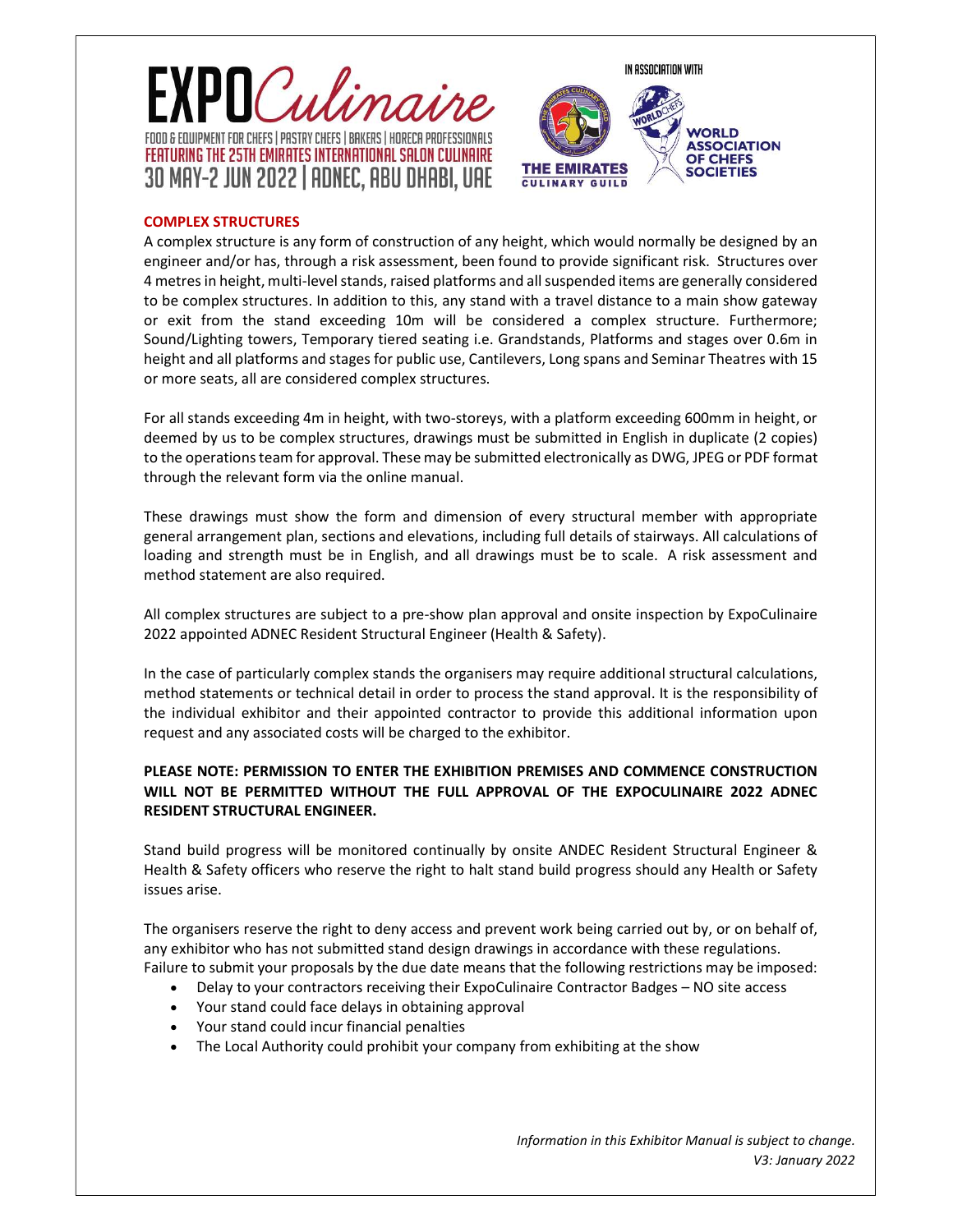



# COMPLEX STRUCTURES

A complex structure is any form of construction of any height, which would normally be designed by an engineer and/or has, through a risk assessment, been found to provide significant risk. Structures over 4 metres in height, multi-level stands, raised platforms and all suspended items are generally considered to be complex structures. In addition to this, any stand with a travel distance to a main show gateway or exit from the stand exceeding 10m will be considered a complex structure. Furthermore; Sound/Lighting towers, Temporary tiered seating i.e. Grandstands, Platforms and stages over 0.6m in height and all platforms and stages for public use, Cantilevers, Long spans and Seminar Theatres with 15 or more seats, all are considered complex structures.

For all stands exceeding 4m in height, with two-storeys, with a platform exceeding 600mm in height, or deemed by us to be complex structures, drawings must be submitted in English in duplicate (2 copies) to the operations team for approval. These may be submitted electronically as DWG, JPEG or PDF format through the relevant form via the online manual.

These drawings must show the form and dimension of every structural member with appropriate general arrangement plan, sections and elevations, including full details of stairways. All calculations of loading and strength must be in English, and all drawings must be to scale. A risk assessment and method statement are also required.

All complex structures are subject to a pre-show plan approval and onsite inspection by ExpoCulinaire 2022 appointed ADNEC Resident Structural Engineer (Health & Safety).

In the case of particularly complex stands the organisers may require additional structural calculations, method statements or technical detail in order to process the stand approval. It is the responsibility of the individual exhibitor and their appointed contractor to provide this additional information upon request and any associated costs will be charged to the exhibitor.

# PLEASE NOTE: PERMISSION TO ENTER THE EXHIBITION PREMISES AND COMMENCE CONSTRUCTION WILL NOT BE PERMITTED WITHOUT THE FULL APPROVAL OF THE EXPOCULINAIRE 2022 ADNEC RESIDENT STRUCTURAL ENGINEER.

Stand build progress will be monitored continually by onsite ANDEC Resident Structural Engineer & Health & Safety officers who reserve the right to halt stand build progress should any Health or Safety issues arise.

The organisers reserve the right to deny access and prevent work being carried out by, or on behalf of, any exhibitor who has not submitted stand design drawings in accordance with these regulations. Failure to submit your proposals by the due date means that the following restrictions may be imposed:

- Delay to your contractors receiving their ExpoCulinaire Contractor Badges NO site access
- Your stand could face delays in obtaining approval
- Your stand could incur financial penalties
- The Local Authority could prohibit your company from exhibiting at the show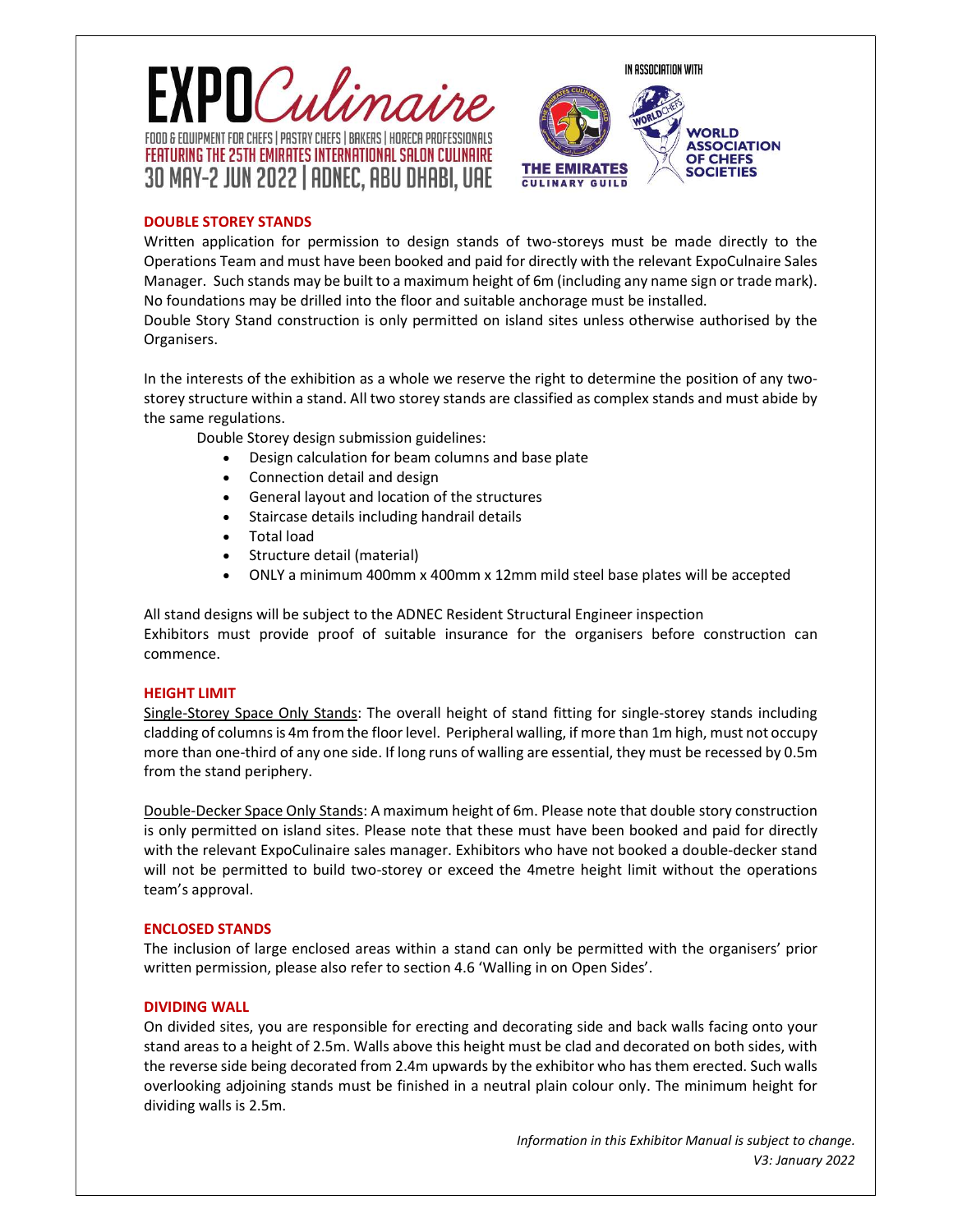



# DOUBLE STOREY STANDS

Written application for permission to design stands of two-storeys must be made directly to the Operations Team and must have been booked and paid for directly with the relevant ExpoCulnaire Sales Manager. Such stands may be built to a maximum height of 6m (including any name sign or trade mark). No foundations may be drilled into the floor and suitable anchorage must be installed.

Double Story Stand construction is only permitted on island sites unless otherwise authorised by the Organisers.

In the interests of the exhibition as a whole we reserve the right to determine the position of any twostorey structure within a stand. All two storey stands are classified as complex stands and must abide by the same regulations.

Double Storey design submission guidelines:

- Design calculation for beam columns and base plate
- Connection detail and design
- General layout and location of the structures
- Staircase details including handrail details
- Total load
- Structure detail (material)
- ONLY a minimum 400mm x 400mm x 12mm mild steel base plates will be accepted

All stand designs will be subject to the ADNEC Resident Structural Engineer inspection Exhibitors must provide proof of suitable insurance for the organisers before construction can commence.

## HEIGHT LIMIT

Single-Storey Space Only Stands: The overall height of stand fitting for single-storey stands including cladding of columns is 4m from the floor level. Peripheral walling, if more than 1m high, must not occupy more than one-third of any one side. If long runs of walling are essential, they must be recessed by 0.5m from the stand periphery.

Double-Decker Space Only Stands: A maximum height of 6m. Please note that double story construction is only permitted on island sites. Please note that these must have been booked and paid for directly with the relevant ExpoCulinaire sales manager. Exhibitors who have not booked a double-decker stand will not be permitted to build two-storey or exceed the 4metre height limit without the operations team's approval.

## ENCLOSED STANDS

The inclusion of large enclosed areas within a stand can only be permitted with the organisers' prior written permission, please also refer to section 4.6 'Walling in on Open Sides'.

## DIVIDING WALL

On divided sites, you are responsible for erecting and decorating side and back walls facing onto your stand areas to a height of 2.5m. Walls above this height must be clad and decorated on both sides, with the reverse side being decorated from 2.4m upwards by the exhibitor who has them erected. Such walls overlooking adjoining stands must be finished in a neutral plain colour only. The minimum height for dividing walls is 2.5m.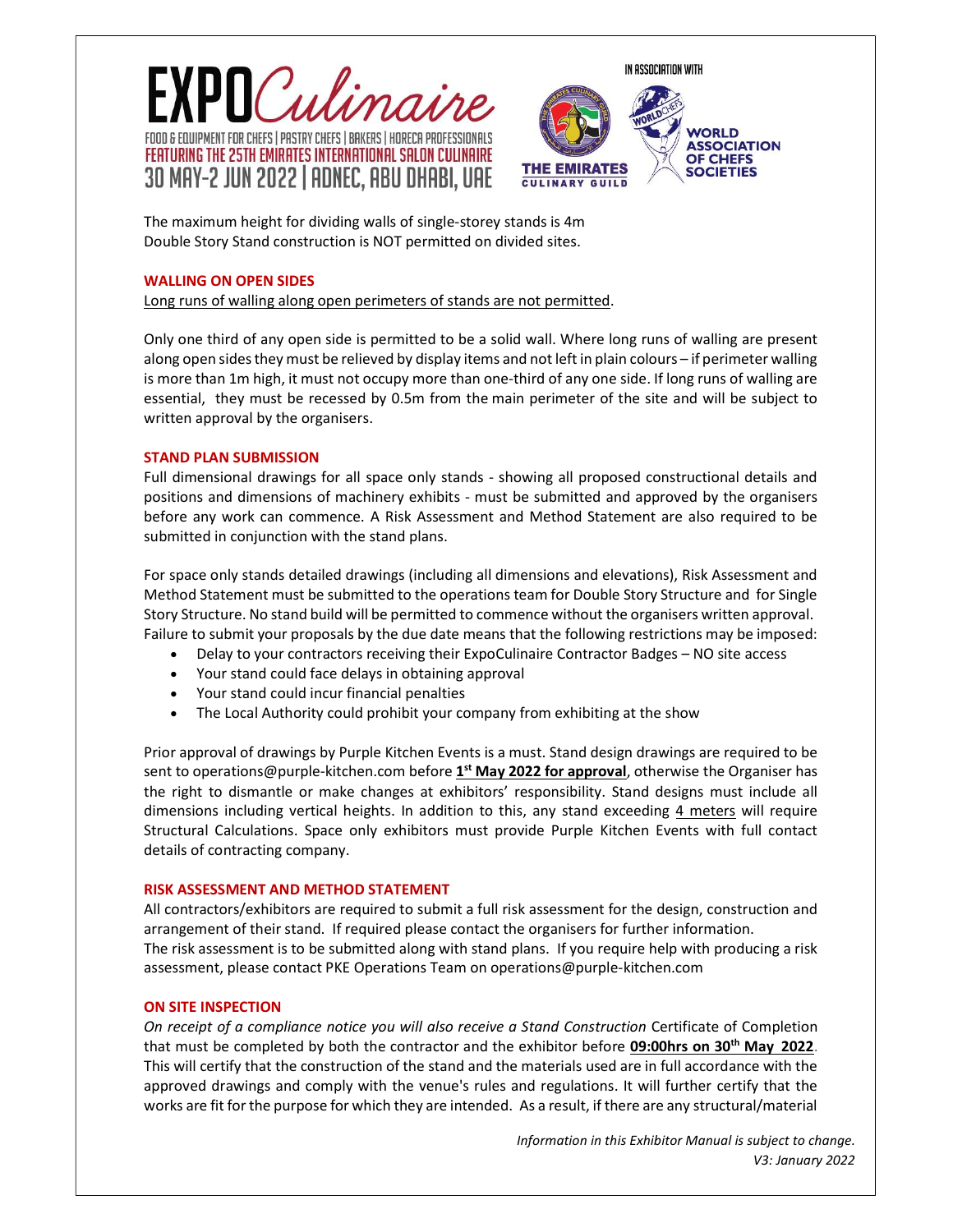





The maximum height for dividing walls of single-storey stands is 4m Double Story Stand construction is NOT permitted on divided sites.

## WALLING ON OPEN SIDES

Long runs of walling along open perimeters of stands are not permitted.

Only one third of any open side is permitted to be a solid wall. Where long runs of walling are present along open sides they must be relieved by display items and not left in plain colours – if perimeter walling is more than 1m high, it must not occupy more than one-third of any one side. If long runs of walling are essential, they must be recessed by 0.5m from the main perimeter of the site and will be subject to written approval by the organisers.

#### STAND PLAN SUBMISSION

Full dimensional drawings for all space only stands - showing all proposed constructional details and positions and dimensions of machinery exhibits - must be submitted and approved by the organisers before any work can commence. A Risk Assessment and Method Statement are also required to be submitted in conjunction with the stand plans.

For space only stands detailed drawings (including all dimensions and elevations), Risk Assessment and Method Statement must be submitted to the operations team for Double Story Structure and for Single Story Structure. No stand build will be permitted to commence without the organisers written approval. Failure to submit your proposals by the due date means that the following restrictions may be imposed:

- Delay to your contractors receiving their ExpoCulinaire Contractor Badges NO site access
- Your stand could face delays in obtaining approval
- Your stand could incur financial penalties
- The Local Authority could prohibit your company from exhibiting at the show

Prior approval of drawings by Purple Kitchen Events is a must. Stand design drawings are required to be sent to operations@purple-kitchen.com before 1<sup>st</sup> May 2022 for approval, otherwise the Organiser has the right to dismantle or make changes at exhibitors' responsibility. Stand designs must include all dimensions including vertical heights. In addition to this, any stand exceeding 4 meters will require Structural Calculations. Space only exhibitors must provide Purple Kitchen Events with full contact details of contracting company.

## RISK ASSESSMENT AND METHOD STATEMENT

All contractors/exhibitors are required to submit a full risk assessment for the design, construction and arrangement of their stand. If required please contact the organisers for further information. The risk assessment is to be submitted along with stand plans. If you require help with producing a risk assessment, please contact PKE Operations Team on operations@purple-kitchen.com

## ON SITE INSPECTION

On receipt of a compliance notice you will also receive a Stand Construction Certificate of Completion that must be completed by both the contractor and the exhibitor before 09:00hrs on 30<sup>th</sup> May 2022. This will certify that the construction of the stand and the materials used are in full accordance with the approved drawings and comply with the venue's rules and regulations. It will further certify that the works are fit for the purpose for which they are intended. As a result, if there are any structural/material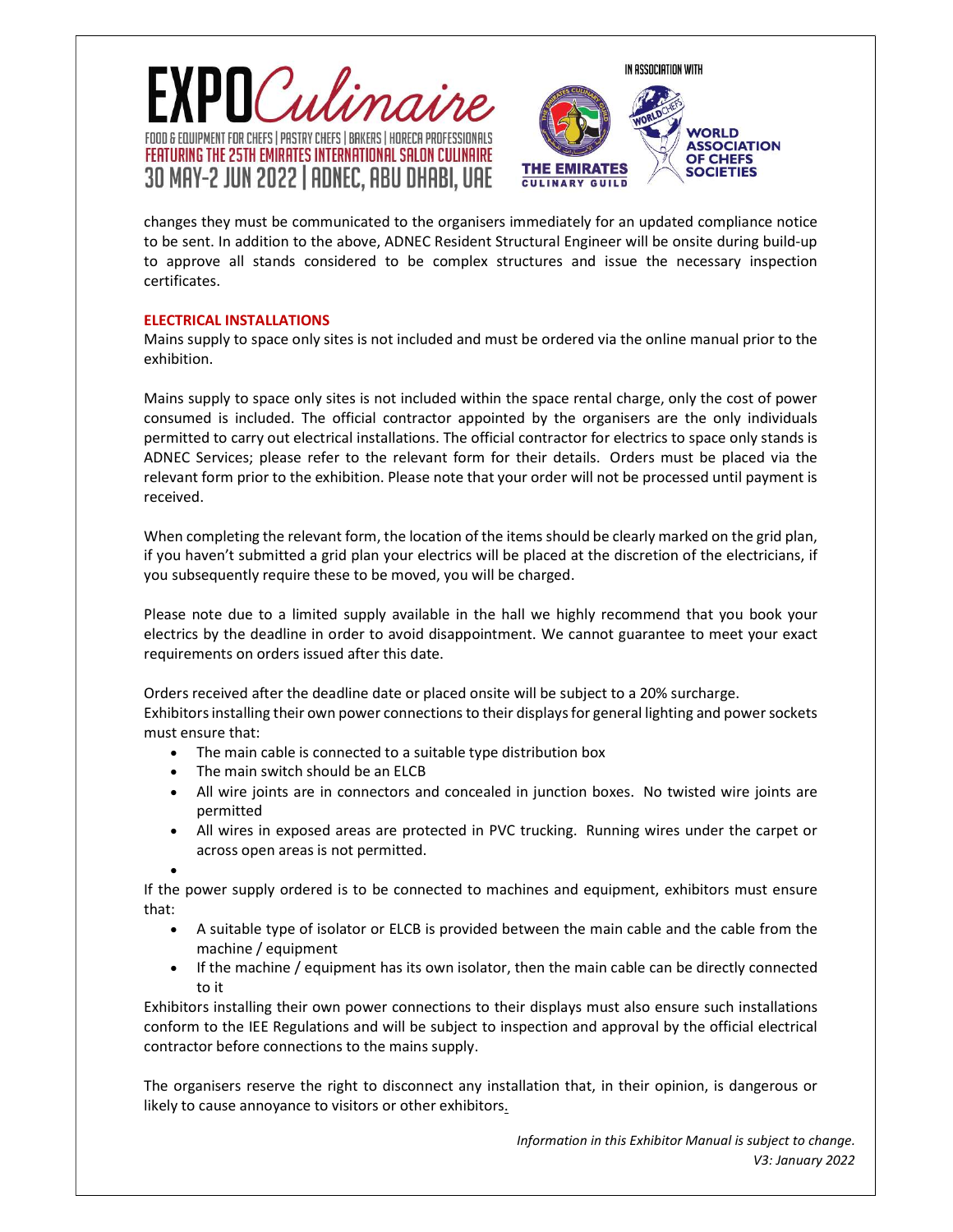





changes they must be communicated to the organisers immediately for an updated compliance notice to be sent. In addition to the above, ADNEC Resident Structural Engineer will be onsite during build-up to approve all stands considered to be complex structures and issue the necessary inspection certificates.

# ELECTRICAL INSTALLATIONS

Mains supply to space only sites is not included and must be ordered via the online manual prior to the exhibition.

Mains supply to space only sites is not included within the space rental charge, only the cost of power consumed is included. The official contractor appointed by the organisers are the only individuals permitted to carry out electrical installations. The official contractor for electrics to space only stands is ADNEC Services; please refer to the relevant form for their details. Orders must be placed via the relevant form prior to the exhibition. Please note that your order will not be processed until payment is received.

When completing the relevant form, the location of the items should be clearly marked on the grid plan, if you haven't submitted a grid plan your electrics will be placed at the discretion of the electricians, if you subsequently require these to be moved, you will be charged.

Please note due to a limited supply available in the hall we highly recommend that you book your electrics by the deadline in order to avoid disappointment. We cannot guarantee to meet your exact requirements on orders issued after this date.

Orders received after the deadline date or placed onsite will be subject to a 20% surcharge. Exhibitors installing their own power connections to their displays for general lighting and power sockets must ensure that:

- The main cable is connected to a suitable type distribution box
- The main switch should be an ELCB
- All wire joints are in connectors and concealed in junction boxes. No twisted wire joints are permitted
- All wires in exposed areas are protected in PVC trucking. Running wires under the carpet or across open areas is not permitted.

 $\bullet$ 

If the power supply ordered is to be connected to machines and equipment, exhibitors must ensure that:

- A suitable type of isolator or ELCB is provided between the main cable and the cable from the machine / equipment
- If the machine / equipment has its own isolator, then the main cable can be directly connected to it

Exhibitors installing their own power connections to their displays must also ensure such installations conform to the IEE Regulations and will be subject to inspection and approval by the official electrical contractor before connections to the mains supply.

The organisers reserve the right to disconnect any installation that, in their opinion, is dangerous or likely to cause annoyance to visitors or other exhibitors.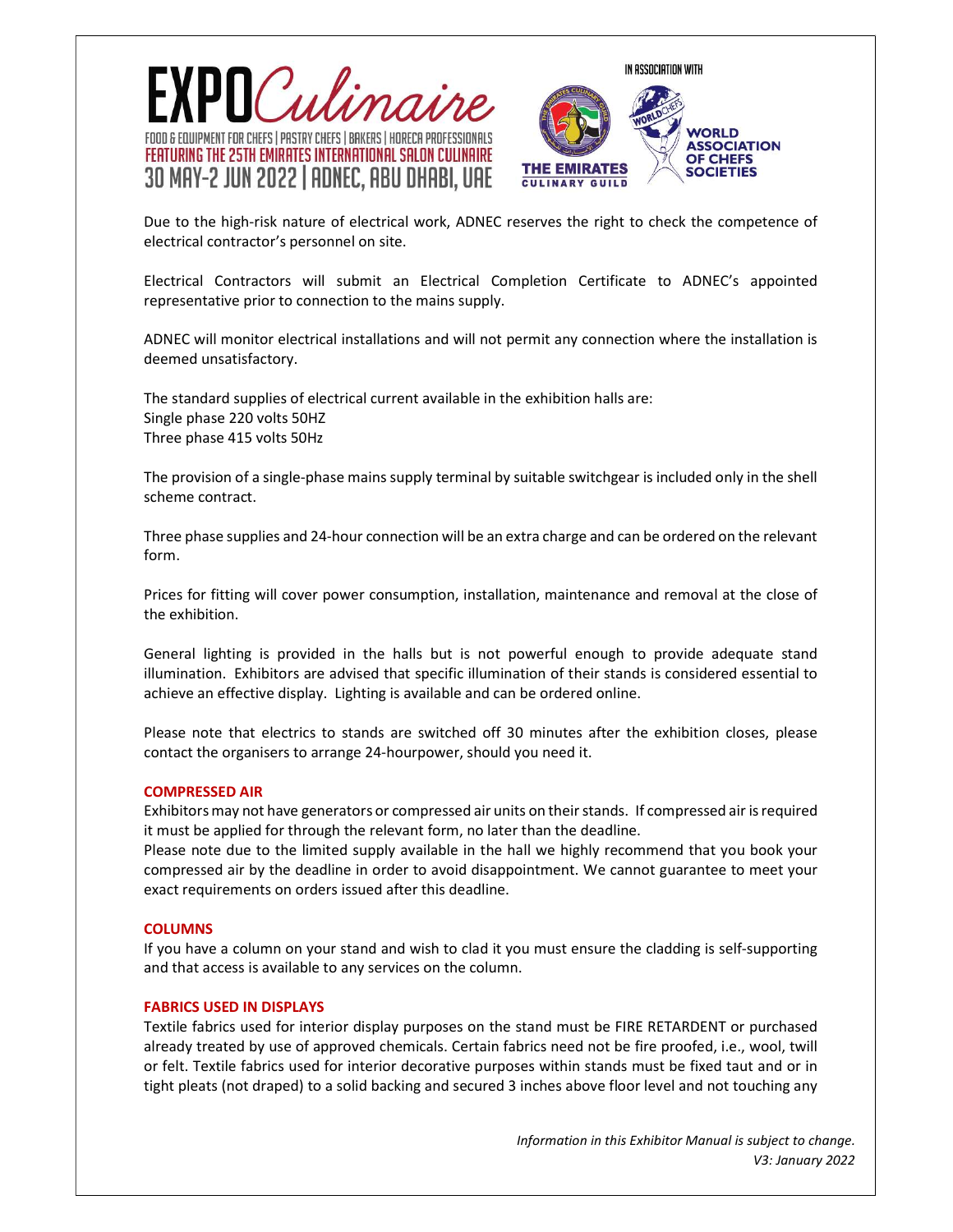



Due to the high-risk nature of electrical work, ADNEC reserves the right to check the competence of electrical contractor's personnel on site.

Electrical Contractors will submit an Electrical Completion Certificate to ADNEC's appointed representative prior to connection to the mains supply.

ADNEC will monitor electrical installations and will not permit any connection where the installation is deemed unsatisfactory.

The standard supplies of electrical current available in the exhibition halls are: Single phase 220 volts 50HZ Three phase 415 volts 50Hz

The provision of a single-phase mains supply terminal by suitable switchgear is included only in the shell scheme contract.

Three phase supplies and 24-hour connection will be an extra charge and can be ordered on the relevant form.

Prices for fitting will cover power consumption, installation, maintenance and removal at the close of the exhibition.

General lighting is provided in the halls but is not powerful enough to provide adequate stand illumination. Exhibitors are advised that specific illumination of their stands is considered essential to achieve an effective display. Lighting is available and can be ordered online.

Please note that electrics to stands are switched off 30 minutes after the exhibition closes, please contact the organisers to arrange 24-hourpower, should you need it.

#### COMPRESSED AIR

Exhibitors may not have generators or compressed air units on their stands. If compressed air is required it must be applied for through the relevant form, no later than the deadline.

Please note due to the limited supply available in the hall we highly recommend that you book your compressed air by the deadline in order to avoid disappointment. We cannot guarantee to meet your exact requirements on orders issued after this deadline.

#### **COLUMNS COLUMNS**

If you have a column on your stand and wish to clad it you must ensure the cladding is self-supporting and that access is available to any services on the column.

#### FABRICS USED IN DISPLAYS

Textile fabrics used for interior display purposes on the stand must be FIRE RETARDENT or purchased already treated by use of approved chemicals. Certain fabrics need not be fire proofed, i.e., wool, twill or felt. Textile fabrics used for interior decorative purposes within stands must be fixed taut and or in tight pleats (not draped) to a solid backing and secured 3 inches above floor level and not touching any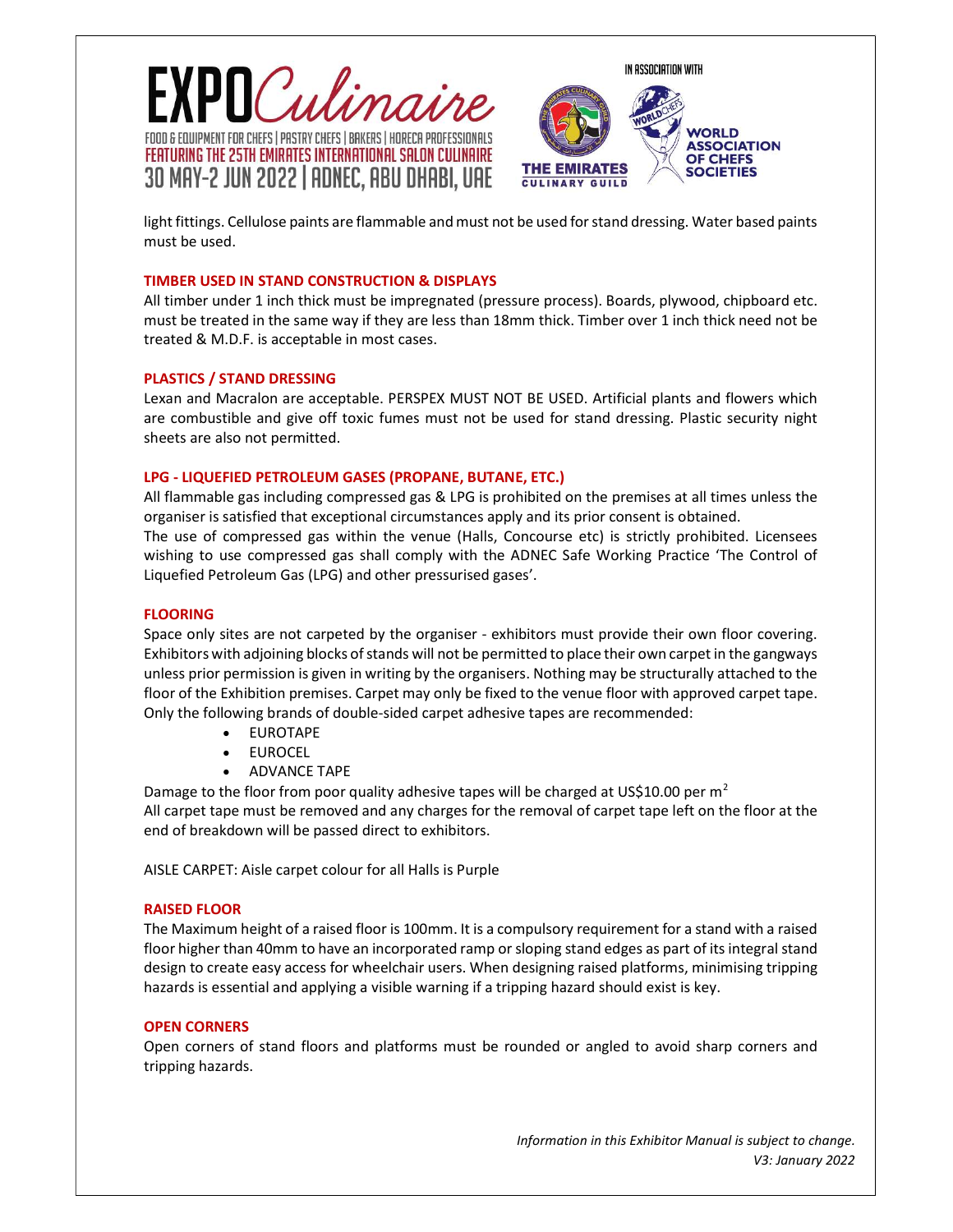



light fittings. Cellulose paints are flammable and must not be used for stand dressing. Water based paints must be used.

## TIMBER USED IN STAND CONSTRUCTION & DISPLAYS

All timber under 1 inch thick must be impregnated (pressure process). Boards, plywood, chipboard etc. must be treated in the same way if they are less than 18mm thick. Timber over 1 inch thick need not be treated & M.D.F. is acceptable in most cases.

# PLASTICS / STAND DRESSING

Lexan and Macralon are acceptable. PERSPEX MUST NOT BE USED. Artificial plants and flowers which are combustible and give off toxic fumes must not be used for stand dressing. Plastic security night sheets are also not permitted.

# LPG - LIQUEFIED PETROLEUM GASES (PROPANE, BUTANE, ETC.)

All flammable gas including compressed gas & LPG is prohibited on the premises at all times unless the organiser is satisfied that exceptional circumstances apply and its prior consent is obtained. The use of compressed gas within the venue (Halls, Concourse etc) is strictly prohibited. Licensees wishing to use compressed gas shall comply with the ADNEC Safe Working Practice 'The Control of Liquefied Petroleum Gas (LPG) and other pressurised gases'.

# FLOORING

Space only sites are not carpeted by the organiser - exhibitors must provide their own floor covering. Exhibitors with adjoining blocks of stands will not be permitted to place their own carpet in the gangways unless prior permission is given in writing by the organisers. Nothing may be structurally attached to the floor of the Exhibition premises. Carpet may only be fixed to the venue floor with approved carpet tape. Only the following brands of double-sided carpet adhesive tapes are recommended:

- EUROTAPE
- EUROCEL
- ADVANCE TAPE

Damage to the floor from poor quality adhesive tapes will be charged at US\$10.00 per  $m<sup>2</sup>$ All carpet tape must be removed and any charges for the removal of carpet tape left on the floor at the end of breakdown will be passed direct to exhibitors.

AISLE CARPET: Aisle carpet colour for all Halls is Purple

## RAISED FLOOR

The Maximum height of a raised floor is 100mm. It is a compulsory requirement for a stand with a raised floor higher than 40mm to have an incorporated ramp or sloping stand edges as part of its integral stand design to create easy access for wheelchair users. When designing raised platforms, minimising tripping hazards is essential and applying a visible warning if a tripping hazard should exist is key.

# **OPEN CORNERS Example 2008**

Open corners of stand floors and platforms must be rounded or angled to avoid sharp corners and tripping hazards.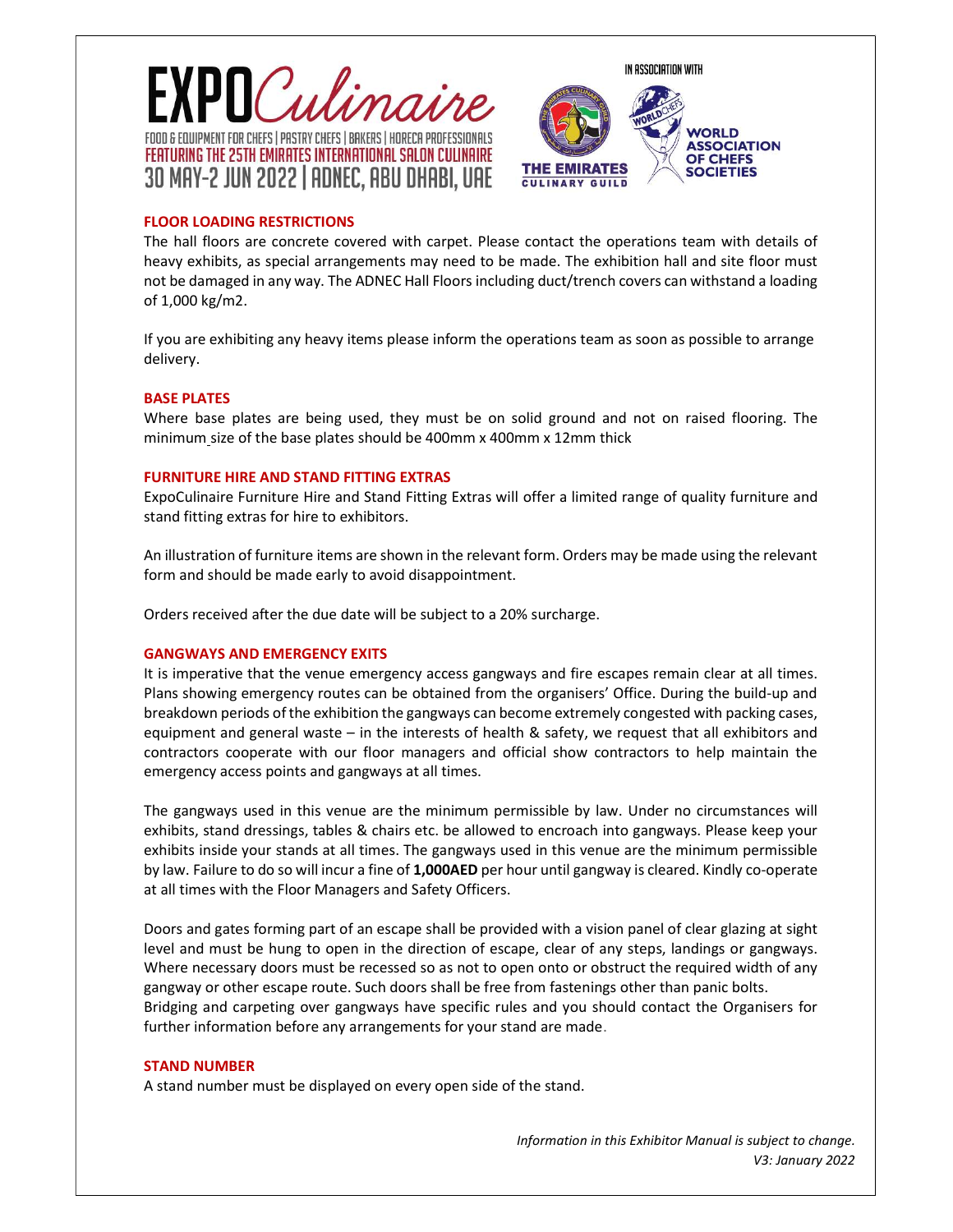



# FLOOR LOADING RESTRICTIONS

The hall floors are concrete covered with carpet. Please contact the operations team with details of heavy exhibits, as special arrangements may need to be made. The exhibition hall and site floor must not be damaged in any way. The ADNEC Hall Floors including duct/trench covers can withstand a loading of 1,000 kg/m2.

If you are exhibiting any heavy items please inform the operations team as soon as possible to arrange delivery.

#### BASE PLATES

Where base plates are being used, they must be on solid ground and not on raised flooring. The minimum size of the base plates should be 400mm x 400mm x 12mm thick

#### FURNITURE HIRE AND STAND FITTING EXTRAS

ExpoCulinaire Furniture Hire and Stand Fitting Extras will offer a limited range of quality furniture and stand fitting extras for hire to exhibitors.

An illustration of furniture items are shown in the relevant form. Orders may be made using the relevant form and should be made early to avoid disappointment.

Orders received after the due date will be subject to a 20% surcharge.

## GANGWAYS AND EMERGENCY EXITS

It is imperative that the venue emergency access gangways and fire escapes remain clear at all times. Plans showing emergency routes can be obtained from the organisers' Office. During the build-up and breakdown periods of the exhibition the gangways can become extremely congested with packing cases, equipment and general waste – in the interests of health & safety, we request that all exhibitors and contractors cooperate with our floor managers and official show contractors to help maintain the emergency access points and gangways at all times.

The gangways used in this venue are the minimum permissible by law. Under no circumstances will exhibits, stand dressings, tables & chairs etc. be allowed to encroach into gangways. Please keep your exhibits inside your stands at all times. The gangways used in this venue are the minimum permissible by law. Failure to do so will incur a fine of 1,000AED per hour until gangway is cleared. Kindly co-operate at all times with the Floor Managers and Safety Officers.

Doors and gates forming part of an escape shall be provided with a vision panel of clear glazing at sight level and must be hung to open in the direction of escape, clear of any steps, landings or gangways. Where necessary doors must be recessed so as not to open onto or obstruct the required width of any gangway or other escape route. Such doors shall be free from fastenings other than panic bolts. Bridging and carpeting over gangways have specific rules and you should contact the Organisers for further information before any arrangements for your stand are made.

#### STAND NUMBER

A stand number must be displayed on every open side of the stand.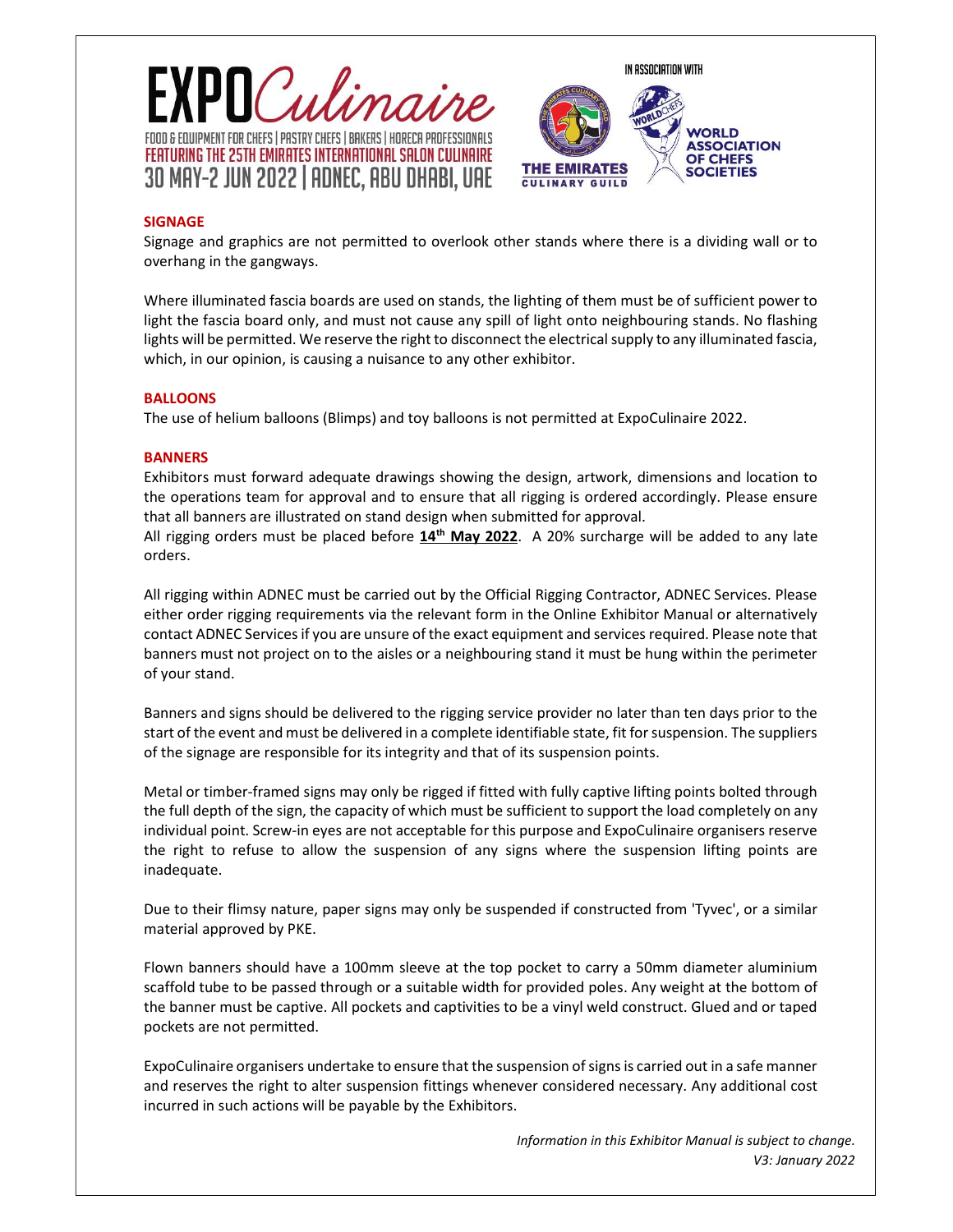



# SIGNAGE

Signage and graphics are not permitted to overlook other stands where there is a dividing wall or to overhang in the gangways.

Where illuminated fascia boards are used on stands, the lighting of them must be of sufficient power to light the fascia board only, and must not cause any spill of light onto neighbouring stands. No flashing lights will be permitted. We reserve the right to disconnect the electrical supply to any illuminated fascia, which, in our opinion, is causing a nuisance to any other exhibitor.

# **BALLOONS**

The use of helium balloons (Blimps) and toy balloons is not permitted at ExpoCulinaire 2022.

# **BANNERS BANNERS**

Exhibitors must forward adequate drawings showing the design, artwork, dimensions and location to the operations team for approval and to ensure that all rigging is ordered accordingly. Please ensure that all banners are illustrated on stand design when submitted for approval.

All rigging orders must be placed before  $14<sup>th</sup>$  May 2022. A 20% surcharge will be added to any late orders.

All rigging within ADNEC must be carried out by the Official Rigging Contractor, ADNEC Services. Please either order rigging requirements via the relevant form in the Online Exhibitor Manual or alternatively contact ADNEC Services if you are unsure of the exact equipment and services required. Please note that banners must not project on to the aisles or a neighbouring stand it must be hung within the perimeter of your stand.

Banners and signs should be delivered to the rigging service provider no later than ten days prior to the start of the event and must be delivered in a complete identifiable state, fit for suspension. The suppliers of the signage are responsible for its integrity and that of its suspension points.

Metal or timber-framed signs may only be rigged if fitted with fully captive lifting points bolted through the full depth of the sign, the capacity of which must be sufficient to support the load completely on any individual point. Screw-in eyes are not acceptable for this purpose and ExpoCulinaire organisers reserve the right to refuse to allow the suspension of any signs where the suspension lifting points are inadequate.

Due to their flimsy nature, paper signs may only be suspended if constructed from 'Tyvec', or a similar material approved by PKE.

Flown banners should have a 100mm sleeve at the top pocket to carry a 50mm diameter aluminium scaffold tube to be passed through or a suitable width for provided poles. Any weight at the bottom of the banner must be captive. All pockets and captivities to be a vinyl weld construct. Glued and or taped pockets are not permitted.

ExpoCulinaire organisers undertake to ensure that the suspension of signs is carried out in a safe manner and reserves the right to alter suspension fittings whenever considered necessary. Any additional cost incurred in such actions will be payable by the Exhibitors.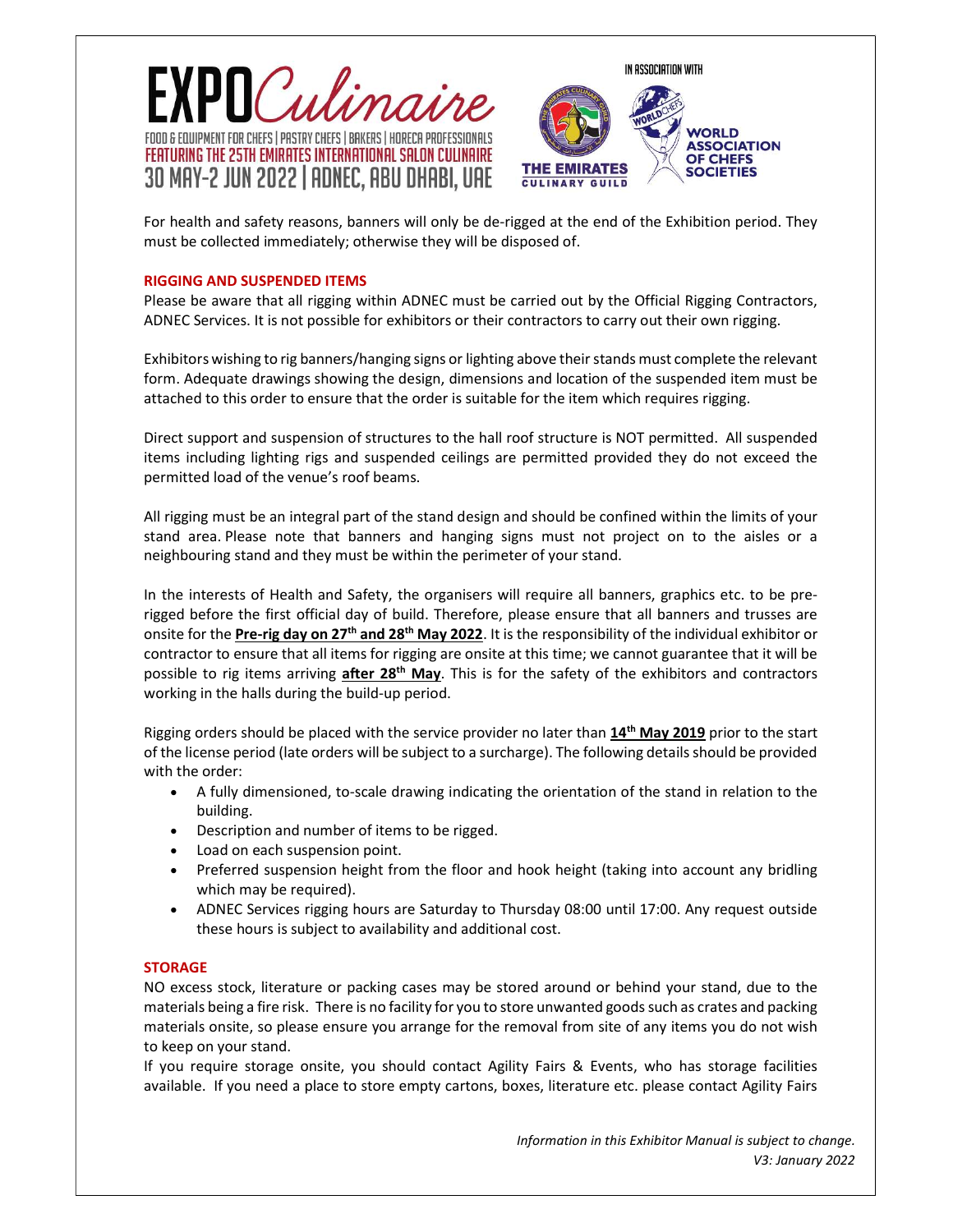



For health and safety reasons, banners will only be de-rigged at the end of the Exhibition period. They must be collected immediately; otherwise they will be disposed of.

## RIGGING AND SUSPENDED ITEMS

Please be aware that all rigging within ADNEC must be carried out by the Official Rigging Contractors, ADNEC Services. It is not possible for exhibitors or their contractors to carry out their own rigging.

Exhibitors wishing to rig banners/hanging signs or lighting above their stands must complete the relevant form. Adequate drawings showing the design, dimensions and location of the suspended item must be attached to this order to ensure that the order is suitable for the item which requires rigging.

Direct support and suspension of structures to the hall roof structure is NOT permitted. All suspended items including lighting rigs and suspended ceilings are permitted provided they do not exceed the permitted load of the venue's roof beams.

All rigging must be an integral part of the stand design and should be confined within the limits of your stand area. Please note that banners and hanging signs must not project on to the aisles or a neighbouring stand and they must be within the perimeter of your stand.

In the interests of Health and Safety, the organisers will require all banners, graphics etc. to be prerigged before the first official day of build. Therefore, please ensure that all banners and trusses are onsite for the Pre-rig day on 27<sup>th</sup> and 28<sup>th</sup> May 2022. It is the responsibility of the individual exhibitor or contractor to ensure that all items for rigging are onsite at this time; we cannot guarantee that it will be possible to rig items arriving after 28<sup>th</sup> May. This is for the safety of the exhibitors and contractors working in the halls during the build-up period.

Rigging orders should be placed with the service provider no later than 14<sup>th</sup> May 2019 prior to the start of the license period (late orders will be subject to a surcharge). The following details should be provided with the order:

- A fully dimensioned, to-scale drawing indicating the orientation of the stand in relation to the building.
- Description and number of items to be rigged.
- Load on each suspension point.
- Preferred suspension height from the floor and hook height (taking into account any bridling which may be required).
- ADNEC Services rigging hours are Saturday to Thursday 08:00 until 17:00. Any request outside these hours is subject to availability and additional cost.

## **STORAGE EXECUTIVE STORAGE AND STORAGE STORAGE AND STORAGE AND STORAGE STORAGE AND STORAGE AND STORAGE STORAGE**

NO excess stock, literature or packing cases may be stored around or behind your stand, due to the materials being a fire risk. There is no facility for you to store unwanted goods such as crates and packing materials onsite, so please ensure you arrange for the removal from site of any items you do not wish to keep on your stand.

If you require storage onsite, you should contact Agility Fairs & Events, who has storage facilities available. If you need a place to store empty cartons, boxes, literature etc. please contact Agility Fairs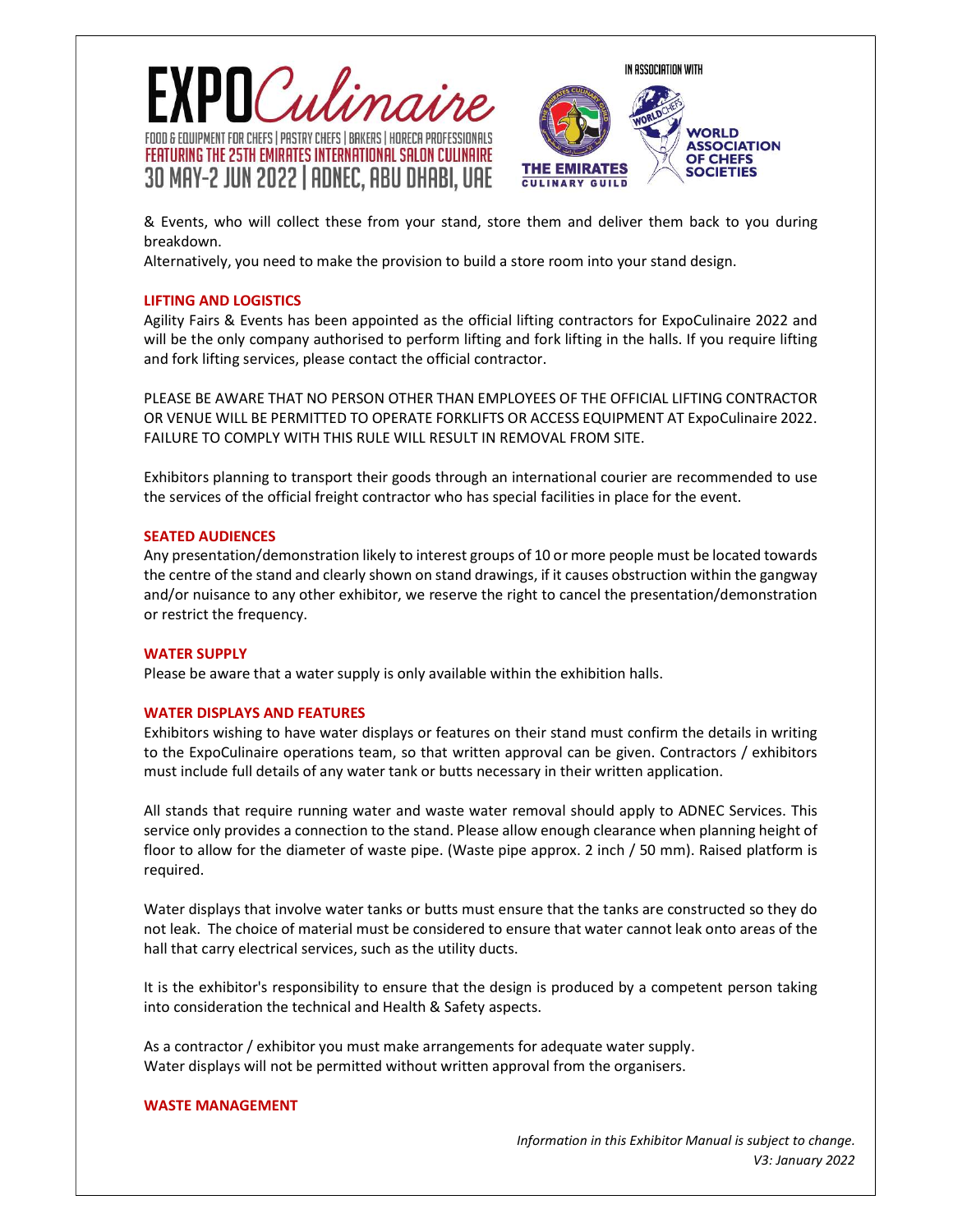



& Events, who will collect these from your stand, store them and deliver them back to you during breakdown.

Alternatively, you need to make the provision to build a store room into your stand design.

# LIFTING AND LOGISTICS

Agility Fairs & Events has been appointed as the official lifting contractors for ExpoCulinaire 2022 and will be the only company authorised to perform lifting and fork lifting in the halls. If you require lifting and fork lifting services, please contact the official contractor.

PLEASE BE AWARE THAT NO PERSON OTHER THAN EMPLOYEES OF THE OFFICIAL LIFTING CONTRACTOR OR VENUE WILL BE PERMITTED TO OPERATE FORKLIFTS OR ACCESS EQUIPMENT AT ExpoCulinaire 2022. FAILURE TO COMPLY WITH THIS RULE WILL RESULT IN REMOVAL FROM SITE.

Exhibitors planning to transport their goods through an international courier are recommended to use the services of the official freight contractor who has special facilities in place for the event.

## SEATED AUDIENCES

Any presentation/demonstration likely to interest groups of 10 or more people must be located towards the centre of the stand and clearly shown on stand drawings, if it causes obstruction within the gangway and/or nuisance to any other exhibitor, we reserve the right to cancel the presentation/demonstration or restrict the frequency.

## WATER SUPPLY

Please be aware that a water supply is only available within the exhibition halls.

## WATER DISPLAYS AND FEATURES

Exhibitors wishing to have water displays or features on their stand must confirm the details in writing to the ExpoCulinaire operations team, so that written approval can be given. Contractors / exhibitors must include full details of any water tank or butts necessary in their written application.

All stands that require running water and waste water removal should apply to ADNEC Services. This service only provides a connection to the stand. Please allow enough clearance when planning height of floor to allow for the diameter of waste pipe. (Waste pipe approx. 2 inch / 50 mm). Raised platform is required.

Water displays that involve water tanks or butts must ensure that the tanks are constructed so they do not leak. The choice of material must be considered to ensure that water cannot leak onto areas of the hall that carry electrical services, such as the utility ducts.

It is the exhibitor's responsibility to ensure that the design is produced by a competent person taking into consideration the technical and Health & Safety aspects.

As a contractor / exhibitor you must make arrangements for adequate water supply. Water displays will not be permitted without written approval from the organisers.

#### WASTE MANAGEMENT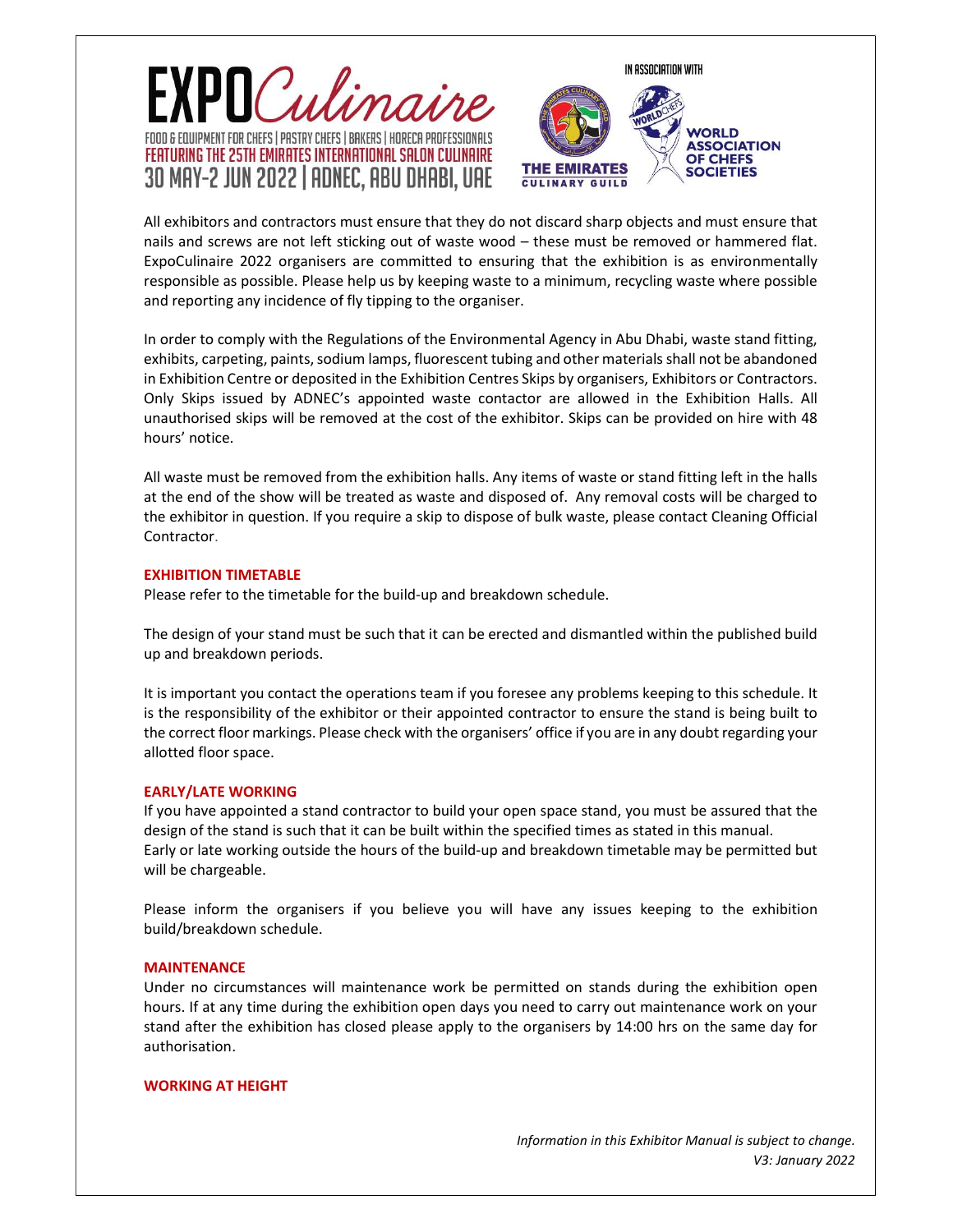



All exhibitors and contractors must ensure that they do not discard sharp objects and must ensure that nails and screws are not left sticking out of waste wood – these must be removed or hammered flat. ExpoCulinaire 2022 organisers are committed to ensuring that the exhibition is as environmentally responsible as possible. Please help us by keeping waste to a minimum, recycling waste where possible and reporting any incidence of fly tipping to the organiser.

In order to comply with the Regulations of the Environmental Agency in Abu Dhabi, waste stand fitting, exhibits, carpeting, paints, sodium lamps, fluorescent tubing and other materials shall not be abandoned in Exhibition Centre or deposited in the Exhibition Centres Skips by organisers, Exhibitors or Contractors. Only Skips issued by ADNEC's appointed waste contactor are allowed in the Exhibition Halls. All unauthorised skips will be removed at the cost of the exhibitor. Skips can be provided on hire with 48 hours' notice.

All waste must be removed from the exhibition halls. Any items of waste or stand fitting left in the halls at the end of the show will be treated as waste and disposed of. Any removal costs will be charged to the exhibitor in question. If you require a skip to dispose of bulk waste, please contact Cleaning Official Contractor.

#### EXHIBITION TIMETABLE

Please refer to the timetable for the build-up and breakdown schedule.

The design of your stand must be such that it can be erected and dismantled within the published build up and breakdown periods.

It is important you contact the operations team if you foresee any problems keeping to this schedule. It is the responsibility of the exhibitor or their appointed contractor to ensure the stand is being built to the correct floor markings. Please check with the organisers' office if you are in any doubt regarding your allotted floor space.

#### EARLY/LATE WORKING

If you have appointed a stand contractor to build your open space stand, you must be assured that the design of the stand is such that it can be built within the specified times as stated in this manual. Early or late working outside the hours of the build-up and breakdown timetable may be permitted but will be chargeable.

Please inform the organisers if you believe you will have any issues keeping to the exhibition build/breakdown schedule.

#### **MAINTENANCE**

Under no circumstances will maintenance work be permitted on stands during the exhibition open hours. If at any time during the exhibition open days you need to carry out maintenance work on your stand after the exhibition has closed please apply to the organisers by 14:00 hrs on the same day for authorisation.

#### WORKING AT HEIGHT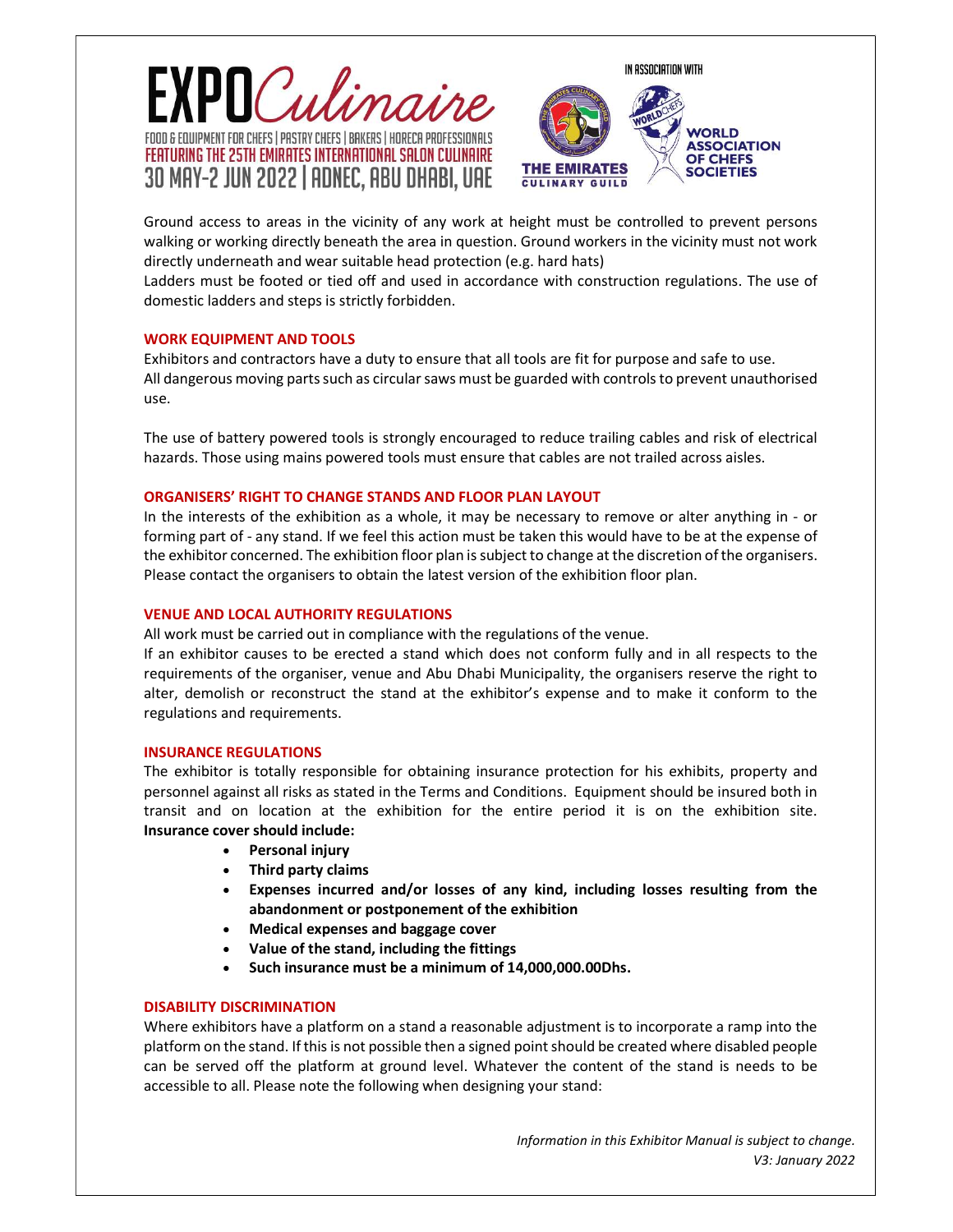



Ground access to areas in the vicinity of any work at height must be controlled to prevent persons walking or working directly beneath the area in question. Ground workers in the vicinity must not work directly underneath and wear suitable head protection (e.g. hard hats)

Ladders must be footed or tied off and used in accordance with construction regulations. The use of domestic ladders and steps is strictly forbidden.

#### WORK EQUIPMENT AND TOOLS

Exhibitors and contractors have a duty to ensure that all tools are fit for purpose and safe to use. All dangerous moving parts such as circular saws must be guarded with controls to prevent unauthorised use.

The use of battery powered tools is strongly encouraged to reduce trailing cables and risk of electrical hazards. Those using mains powered tools must ensure that cables are not trailed across aisles.

#### ORGANISERS' RIGHT TO CHANGE STANDS AND FLOOR PLAN LAYOUT

In the interests of the exhibition as a whole, it may be necessary to remove or alter anything in - or forming part of - any stand. If we feel this action must be taken this would have to be at the expense of the exhibitor concerned. The exhibition floor plan is subject to change at the discretion of the organisers. Please contact the organisers to obtain the latest version of the exhibition floor plan.

#### VENUE AND LOCAL AUTHORITY REGULATIONS

All work must be carried out in compliance with the regulations of the venue.

If an exhibitor causes to be erected a stand which does not conform fully and in all respects to the requirements of the organiser, venue and Abu Dhabi Municipality, the organisers reserve the right to alter, demolish or reconstruct the stand at the exhibitor's expense and to make it conform to the regulations and requirements.

#### INSURANCE REGULATIONS

The exhibitor is totally responsible for obtaining insurance protection for his exhibits, property and personnel against all risks as stated in the Terms and Conditions. Equipment should be insured both in transit and on location at the exhibition for the entire period it is on the exhibition site. Insurance cover should include:

- Personal injury
- Third party claims
- Expenses incurred and/or losses of any kind, including losses resulting from the abandonment or postponement of the exhibition
- Medical expenses and baggage cover
- Value of the stand, including the fittings
- Such insurance must be a minimum of 14,000,000.00Dhs.

## DISABILITY DISCRIMINATION

Where exhibitors have a platform on a stand a reasonable adjustment is to incorporate a ramp into the platform on the stand. If this is not possible then a signed point should be created where disabled people can be served off the platform at ground level. Whatever the content of the stand is needs to be accessible to all. Please note the following when designing your stand: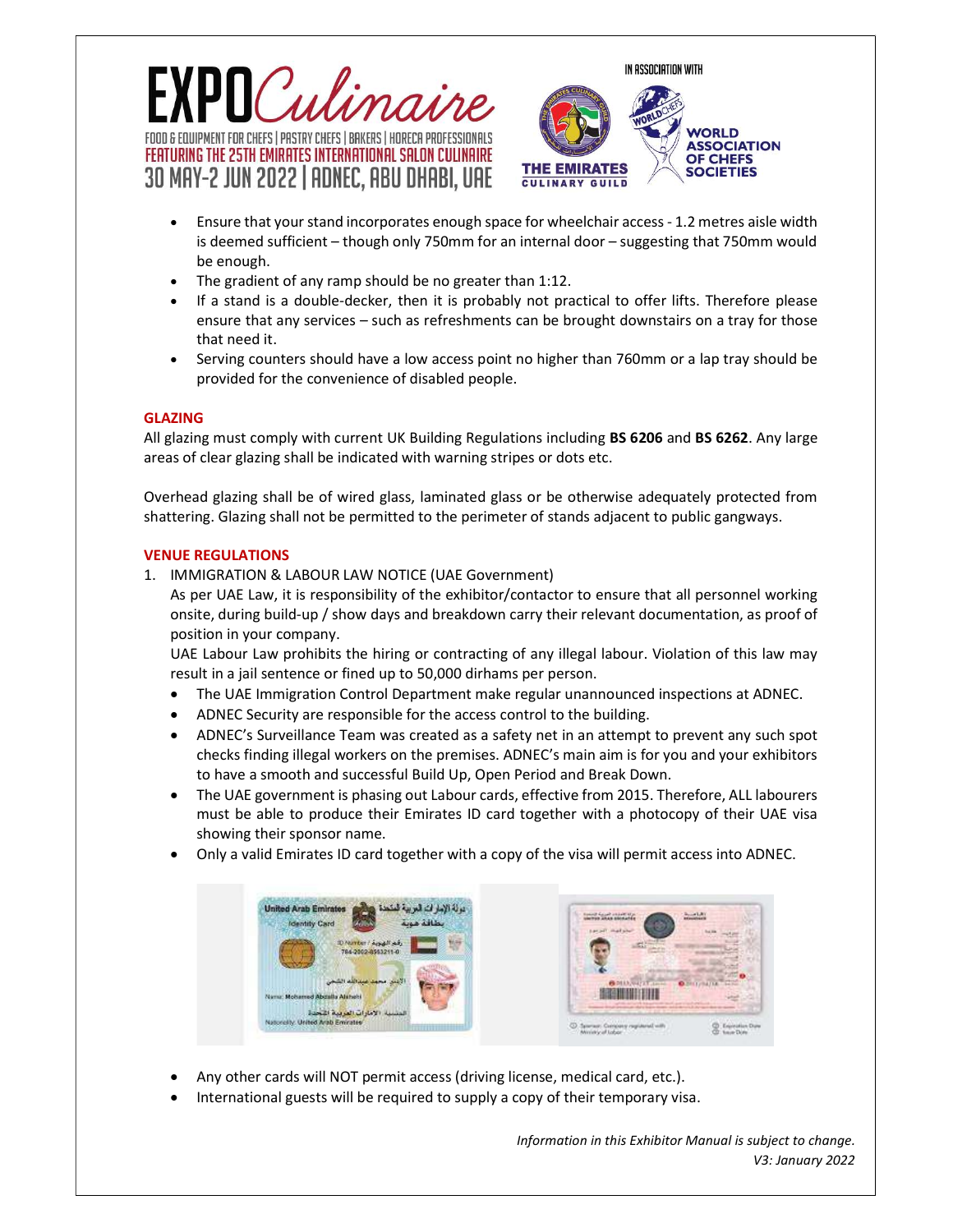





- Ensure that your stand incorporates enough space for wheelchair access 1.2 metres aisle width is deemed sufficient – though only 750mm for an internal door – suggesting that 750mm would be enough.
- The gradient of any ramp should be no greater than 1:12.
- If a stand is a double-decker, then it is probably not practical to offer lifts. Therefore please ensure that any services – such as refreshments can be brought downstairs on a tray for those that need it.
- Serving counters should have a low access point no higher than 760mm or a lap tray should be provided for the convenience of disabled people.

# GLAZING

All glazing must comply with current UK Building Regulations including BS 6206 and BS 6262. Any large areas of clear glazing shall be indicated with warning stripes or dots etc.

Overhead glazing shall be of wired glass, laminated glass or be otherwise adequately protected from shattering. Glazing shall not be permitted to the perimeter of stands adjacent to public gangways.

# VENUE REGULATIONS

1. IMMIGRATION & LABOUR LAW NOTICE (UAE Government)

As per UAE Law, it is responsibility of the exhibitor/contactor to ensure that all personnel working onsite, during build-up / show days and breakdown carry their relevant documentation, as proof of position in your company.

UAE Labour Law prohibits the hiring or contracting of any illegal labour. Violation of this law may result in a jail sentence or fined up to 50,000 dirhams per person.

- The UAE Immigration Control Department make regular unannounced inspections at ADNEC.
- ADNEC Security are responsible for the access control to the building.
- ADNEC's Surveillance Team was created as a safety net in an attempt to prevent any such spot checks finding illegal workers on the premises. ADNEC's main aim is for you and your exhibitors to have a smooth and successful Build Up, Open Period and Break Down.
- The UAE government is phasing out Labour cards, effective from 2015. Therefore, ALL labourers must be able to produce their Emirates ID card together with a photocopy of their UAE visa showing their sponsor name.
- Only a valid Emirates ID card together with a copy of the visa will permit access into ADNEC.





- Any other cards will NOT permit access (driving license, medical card, etc.).
- International guests will be required to supply a copy of their temporary visa.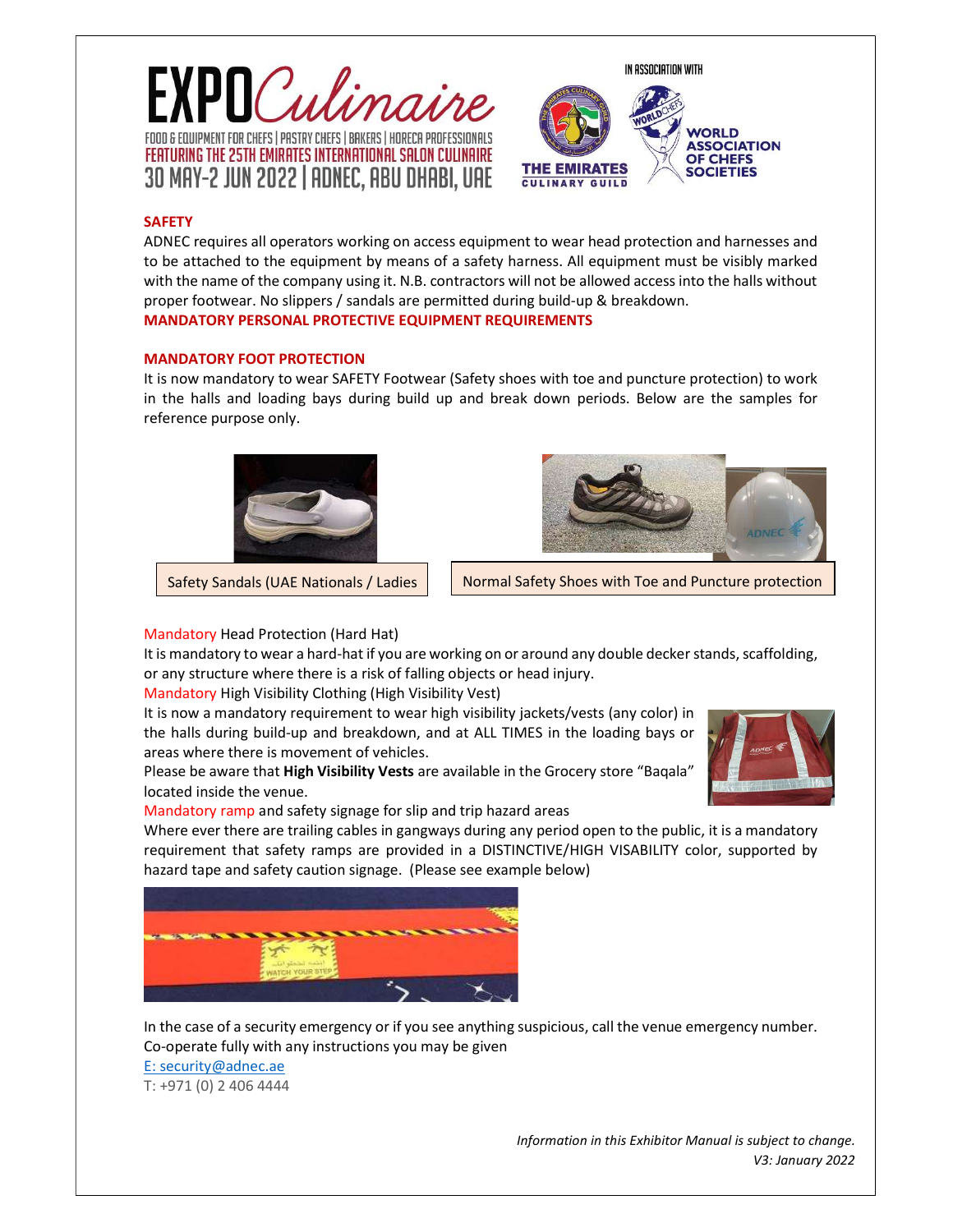



# **SAFETY**

ADNEC requires all operators working on access equipment to wear head protection and harnesses and to be attached to the equipment by means of a safety harness. All equipment must be visibly marked with the name of the company using it. N.B. contractors will not be allowed access into the halls without proper footwear. No slippers / sandals are permitted during build-up & breakdown. MANDATORY PERSONAL PROTECTIVE EQUIPMENT REQUIREMENTS

#### MANDATORY FOOT PROTECTION

It is now mandatory to wear SAFETY Footwear (Safety shoes with toe and puncture protection) to work in the halls and loading bays during build up and break down periods. Below are the samples for reference purpose only.





Safety Sandals (UAE Nationals / Ladies  $\vert \vert$  Normal Safety Shoes with Toe and Puncture protection

## Mandatory Head Protection (Hard Hat)

It is mandatory to wear a hard-hat if you are working on or around any double decker stands, scaffolding, or any structure where there is a risk of falling objects or head injury.

Mandatory High Visibility Clothing (High Visibility Vest)

It is now a mandatory requirement to wear high visibility jackets/vests (any color) in the halls during build-up and breakdown, and at ALL TIMES in the loading bays or areas where there is movement of vehicles.

Please be aware that High Visibility Vests are available in the Grocery store "Baqala" located inside the venue.

Mandatory ramp and safety signage for slip and trip hazard areas

Where ever there are trailing cables in gangways during any period open to the public, it is a mandatory requirement that safety ramps are provided in a DISTINCTIVE/HIGH VISABILITY color, supported by hazard tape and safety caution signage. (Please see example below)



In the case of a security emergency or if you see anything suspicious, call the venue emergency number. Co-operate fully with any instructions you may be given E: security@adnec.ae T: +971 (0) 2 406 4444

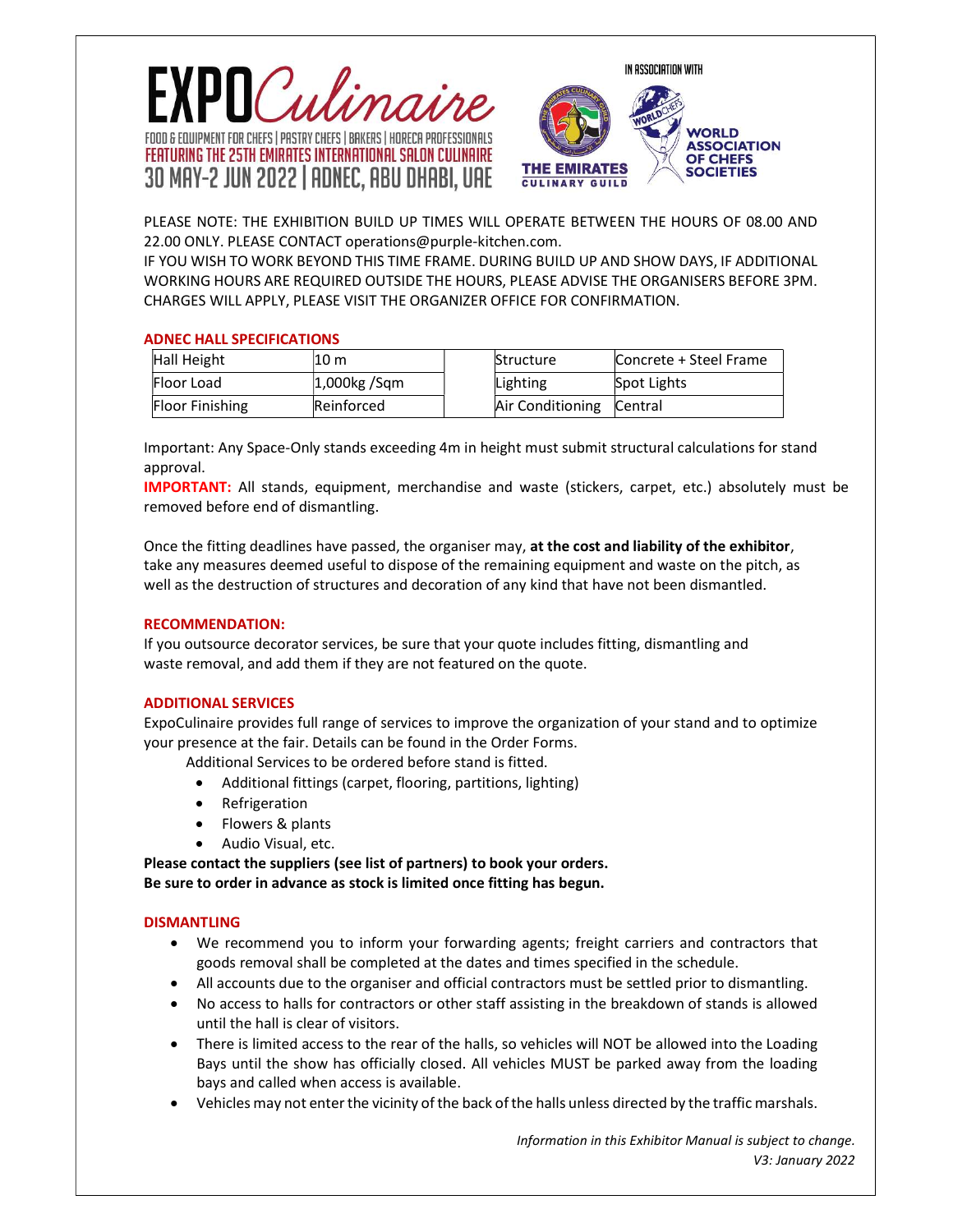



PLEASE NOTE: THE EXHIBITION BUILD UP TIMES WILL OPERATE BETWEEN THE HOURS OF 08.00 AND 22.00 ONLY. PLEASE CONTACT operations@purple-kitchen.com.

IF YOU WISH TO WORK BEYOND THIS TIME FRAME. DURING BUILD UP AND SHOW DAYS, IF ADDITIONAL WORKING HOURS ARE REQUIRED OUTSIDE THE HOURS, PLEASE ADVISE THE ORGANISERS BEFORE 3PM. CHARGES WILL APPLY, PLEASE VISIT THE ORGANIZER OFFICE FOR CONFIRMATION.

## ADNEC HALL SPECIFICATIONS

| Hall Height            | 10 m            | Structure                | Concrete + Steel Frame |
|------------------------|-----------------|--------------------------|------------------------|
| Floor Load             | $1,000$ kg /Sqm | Lighting                 | Spot Lights            |
| <b>Floor Finishing</b> | Reinforced      | Air Conditioning Central |                        |
|                        |                 |                          |                        |

Important: Any Space-Only stands exceeding 4m in height must submit structural calculations for stand approval.

IMPORTANT: All stands, equipment, merchandise and waste (stickers, carpet, etc.) absolutely must be removed before end of dismantling.

Once the fitting deadlines have passed, the organiser may, at the cost and liability of the exhibitor, take any measures deemed useful to dispose of the remaining equipment and waste on the pitch, as well as the destruction of structures and decoration of any kind that have not been dismantled.

## RECOMMENDATION:

If you outsource decorator services, be sure that your quote includes fitting, dismantling and waste removal, and add them if they are not featured on the quote.

## ADDITIONAL SERVICES

ExpoCulinaire provides full range of services to improve the organization of your stand and to optimize your presence at the fair. Details can be found in the Order Forms.

Additional Services to be ordered before stand is fitted.

- Additional fittings (carpet, flooring, partitions, lighting)
- Refrigeration
- Flowers & plants
- Audio Visual, etc.

Please contact the suppliers (see list of partners) to book your orders. Be sure to order in advance as stock is limited once fitting has begun.

## **DISMANTLING**

- We recommend you to inform your forwarding agents; freight carriers and contractors that goods removal shall be completed at the dates and times specified in the schedule.
- All accounts due to the organiser and official contractors must be settled prior to dismantling.
- No access to halls for contractors or other staff assisting in the breakdown of stands is allowed until the hall is clear of visitors.
- There is limited access to the rear of the halls, so vehicles will NOT be allowed into the Loading Bays until the show has officially closed. All vehicles MUST be parked away from the loading bays and called when access is available.
- Vehicles may not enter the vicinity of the back of the halls unless directed by the traffic marshals.